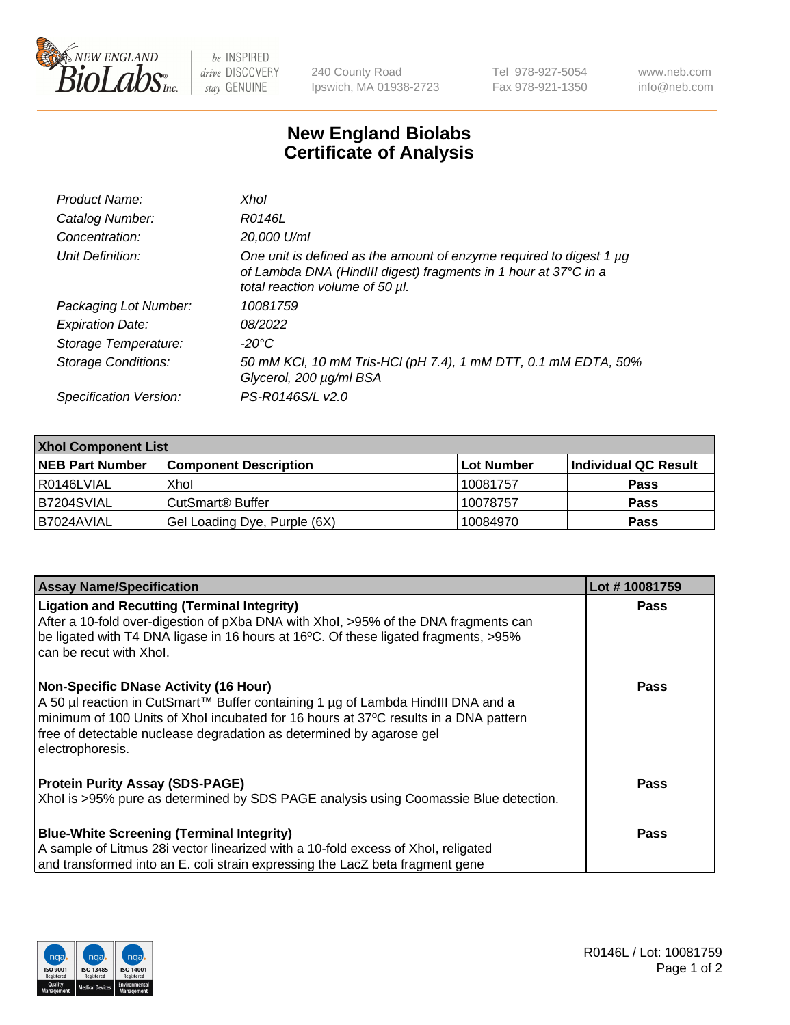

 $be$  INSPIRED drive DISCOVERY stay GENUINE

240 County Road Ipswich, MA 01938-2723 Tel 978-927-5054 Fax 978-921-1350 www.neb.com info@neb.com

## **New England Biolabs Certificate of Analysis**

| Product Name:              | Xhol                                                                                                                                                                      |
|----------------------------|---------------------------------------------------------------------------------------------------------------------------------------------------------------------------|
| Catalog Number:            | R0146L                                                                                                                                                                    |
| Concentration:             | 20,000 U/ml                                                                                                                                                               |
| Unit Definition:           | One unit is defined as the amount of enzyme required to digest 1 µg<br>of Lambda DNA (HindIII digest) fragments in 1 hour at 37°C in a<br>total reaction volume of 50 µl. |
| Packaging Lot Number:      | 10081759                                                                                                                                                                  |
| <b>Expiration Date:</b>    | 08/2022                                                                                                                                                                   |
| Storage Temperature:       | -20°C                                                                                                                                                                     |
| <b>Storage Conditions:</b> | 50 mM KCl, 10 mM Tris-HCl (pH 7.4), 1 mM DTT, 0.1 mM EDTA, 50%<br>Glycerol, 200 µg/ml BSA                                                                                 |
| Specification Version:     | PS-R0146S/L v2.0                                                                                                                                                          |

| <b>Xhol Component List</b> |                              |             |                      |  |  |
|----------------------------|------------------------------|-------------|----------------------|--|--|
| <b>NEB Part Number</b>     | <b>Component Description</b> | ∣Lot Number | Individual QC Result |  |  |
| R0146LVIAL                 | Xhol                         | 10081757    | <b>Pass</b>          |  |  |
| IB7204SVIAL                | CutSmart® Buffer             | 10078757    | <b>Pass</b>          |  |  |
| B7024AVIAL                 | Gel Loading Dye, Purple (6X) | 10084970    | <b>Pass</b>          |  |  |

| <b>Assay Name/Specification</b>                                                                                                                                                                                                                                                                                      | Lot #10081759 |
|----------------------------------------------------------------------------------------------------------------------------------------------------------------------------------------------------------------------------------------------------------------------------------------------------------------------|---------------|
| <b>Ligation and Recutting (Terminal Integrity)</b><br>After a 10-fold over-digestion of pXba DNA with Xhol, >95% of the DNA fragments can                                                                                                                                                                            | <b>Pass</b>   |
| be ligated with T4 DNA ligase in 16 hours at 16°C. Of these ligated fragments, >95%<br>can be recut with Xhol.                                                                                                                                                                                                       |               |
| <b>Non-Specific DNase Activity (16 Hour)</b><br>A 50 µl reaction in CutSmart™ Buffer containing 1 µg of Lambda HindIII DNA and a<br>minimum of 100 Units of Xhol incubated for 16 hours at 37°C results in a DNA pattern<br>free of detectable nuclease degradation as determined by agarose gel<br>electrophoresis. | <b>Pass</b>   |
| <b>Protein Purity Assay (SDS-PAGE)</b>                                                                                                                                                                                                                                                                               | <b>Pass</b>   |
| Xhol is >95% pure as determined by SDS PAGE analysis using Coomassie Blue detection.                                                                                                                                                                                                                                 |               |
| <b>Blue-White Screening (Terminal Integrity)</b>                                                                                                                                                                                                                                                                     | Pass          |
| A sample of Litmus 28i vector linearized with a 10-fold excess of Xhol, religated                                                                                                                                                                                                                                    |               |
| and transformed into an E. coli strain expressing the LacZ beta fragment gene                                                                                                                                                                                                                                        |               |